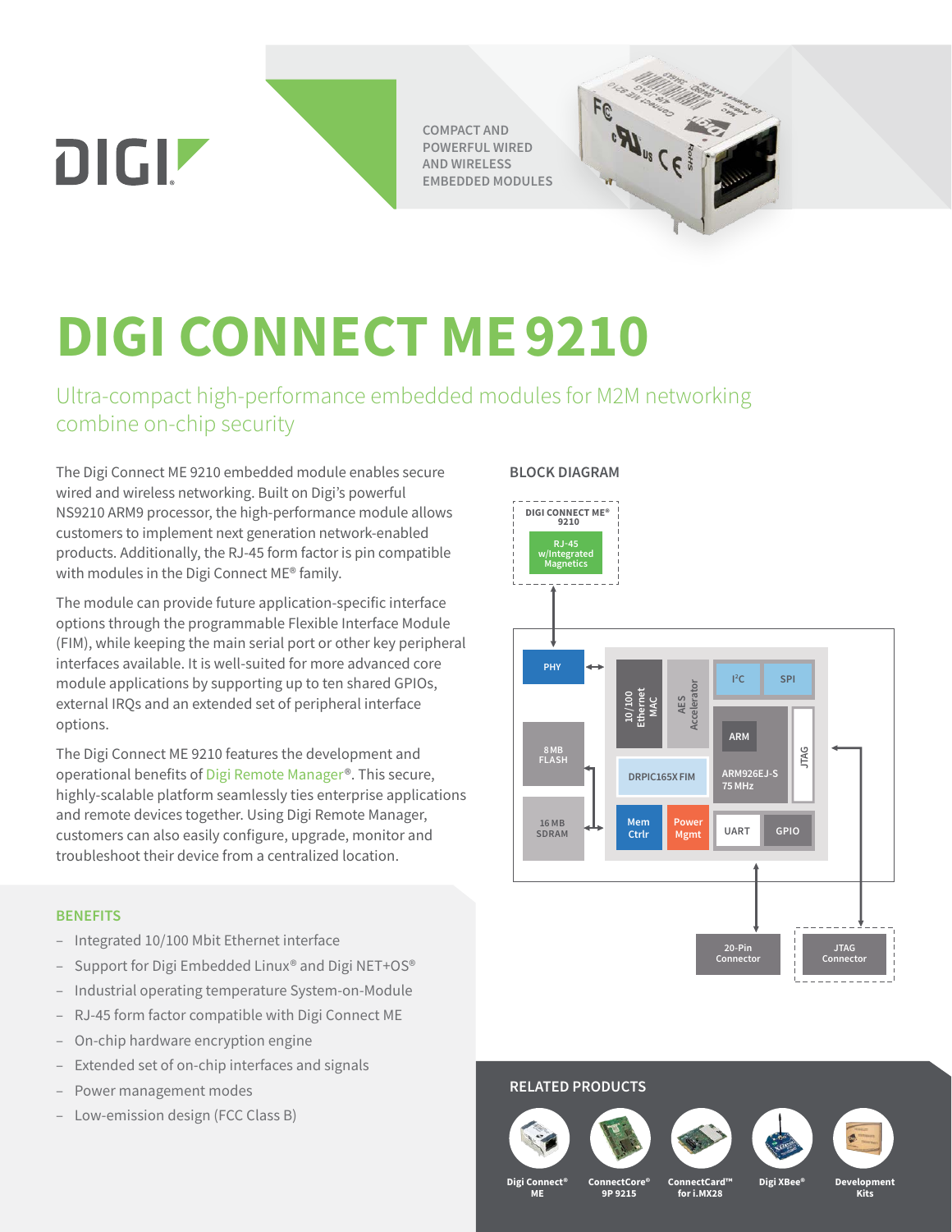**COMPACT AND POWERFUL WIRED AND WIRELESS EMBEDDED MODULES**



# **DIGI CONNECT ME9210**

Ultra-compact high-performance embedded modules for M2M networking combine on-chip security

The Digi Connect ME 9210 embedded module enables secure wired and wireless networking. Built on Digi's powerful NS9210 ARM9 processor, the high-performance module allows customers to implement next generation network-enabled products. Additionally, the RJ-45 form factor is pin compatible with modules in the Digi Connect ME® family.

The module can provide future application-specific interface options through the programmable Flexible Interface Module (FIM), while keeping the main serial port or other key peripheral interfaces available. It is well-suited for more advanced core module applications by supporting up to ten shared GPIOs, external IRQs and an extended set of peripheral interface options.

The Digi Connect ME 9210 features the development and operational benefits of [Digi Remote Manager®](https://www.digi.com/products/iot-software-services/digi-remote-manager). This secure, highly-scalable platform seamlessly ties enterprise applications and remote devices together. Using Digi Remote Manager, customers can also easily configure, upgrade, monitor and troubleshoot their device from a centralized location.

### **BENEFITS**

DIGIZ

- Integrated 10/100 Mbit Ethernet interface
- Support for Digi Embedded Linux® and Digi NET+OS®
- Industrial operating temperature System-on-Module
- RJ-45 form factor compatible with Digi Connect ME
- On-chip hardware encryption engine
- Extended set of on-chip interfaces and signals
- Power management modes
- Low-emission design (FCC Class B)

### **BLOCK DIAGRAM**





### **RELATED PRODUCTS**







**Digi XBee®**



**Digi Connect® ME**

**ConnectCore® 9P 9215**

**ConnectCard™ for i.MX28**

**Development Kits**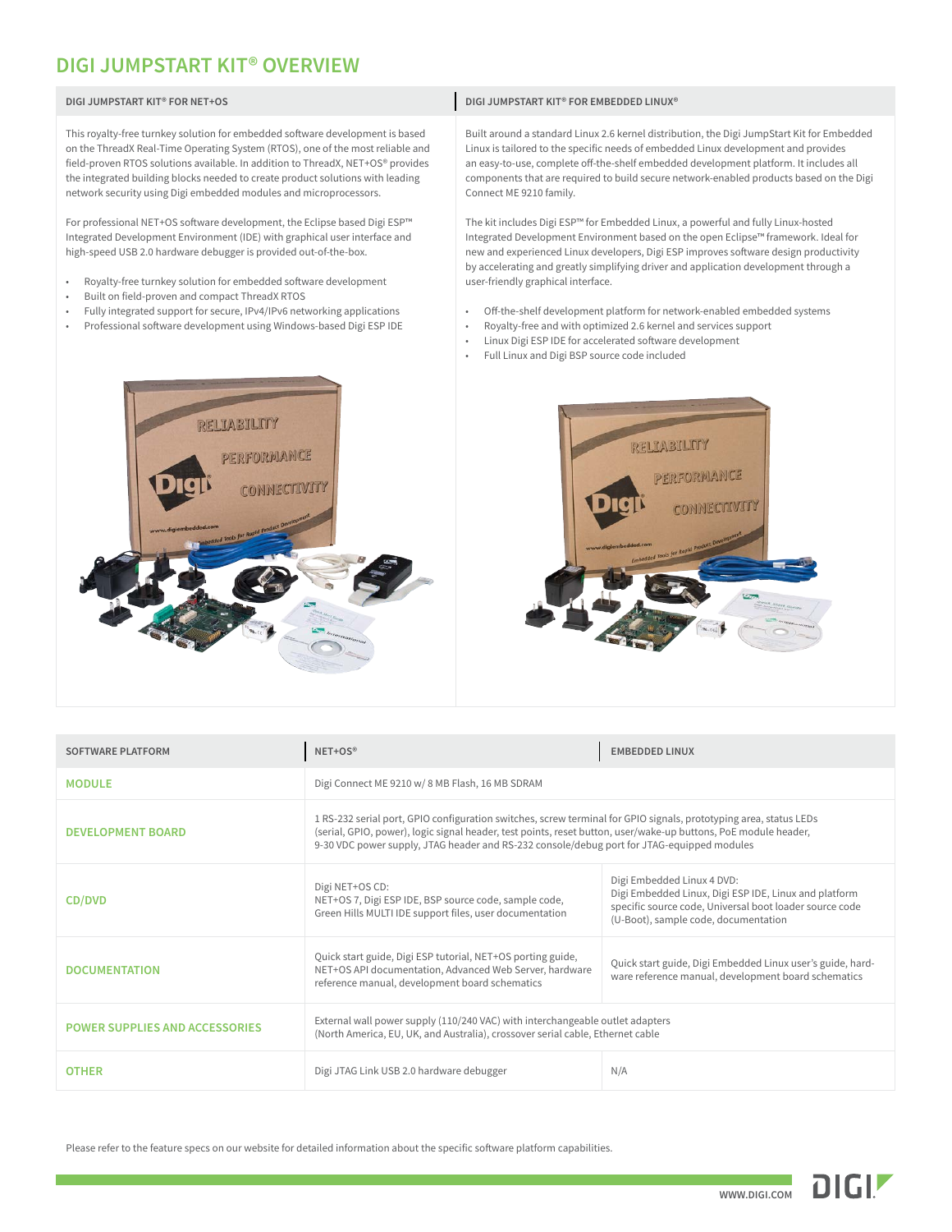## **DIGI JUMPSTART KIT® OVERVIEW**

| DIGI JUMPSTART KIT® FOR NET+OS                                                                                                                                                                                                                                                                                                                                                                            | DIGI JUMPSTART KIT® FOR EMBEDDED LINUX®                                                                                                                                                                                                                                                                                                                                                         |
|-----------------------------------------------------------------------------------------------------------------------------------------------------------------------------------------------------------------------------------------------------------------------------------------------------------------------------------------------------------------------------------------------------------|-------------------------------------------------------------------------------------------------------------------------------------------------------------------------------------------------------------------------------------------------------------------------------------------------------------------------------------------------------------------------------------------------|
| This royalty-free turnkey solution for embedded software development is based<br>on the ThreadX Real-Time Operating System (RTOS), one of the most reliable and<br>field-proven RTOS solutions available. In addition to ThreadX, NET+OS® provides<br>the integrated building blocks needed to create product solutions with leading<br>network security using Digi embedded modules and microprocessors. | Built around a standard Linux 2.6 kernel distribution, the Digi JumpStart Kit for Embedded<br>Linux is tailored to the specific needs of embedded Linux development and provides<br>an easy-to-use, complete off-the-shelf embedded development platform. It includes all<br>components that are required to build secure network-enabled products based on the Digi<br>Connect ME 9210 family. |
| For professional NET+OS software development, the Eclipse based Digi ESP™<br>Integrated Development Environment (IDE) with graphical user interface and<br>high-speed USB 2.0 hardware debugger is provided out-of-the-box.                                                                                                                                                                               | The kit includes Digi ESP™ for Embedded Linux, a powerful and fully Linux-hosted<br>Integrated Development Environment based on the open Eclipse™ framework. Ideal for<br>new and experienced Linux developers, Digi ESP improves software design productivity<br>by accelerating and greatly simplifying driver and application development through a                                          |
| Royalty-free turnkey solution for embedded software development<br>$\bullet$<br>Built on field-proven and compact ThreadX RTOS<br>$\bullet$<br>Fully integrated support for secure, IPv4/IPv6 networking applications<br>$\bullet$<br>Professional software development using Windows-based Digi ESP IDE                                                                                                  | user-friendly graphical interface.<br>Off-the-shelf development platform for network-enabled embedded systems<br>Royalty-free and with optimized 2.6 kernel and services support<br>٠<br>Linux Digi ESP IDE for accelerated software development<br>٠<br>Full Linux and Digi BSP source code included<br>٠                                                                                      |





| <b>SOFTWARE PLATFORM</b>              | NET+OS®                                                                                                                                                                                                                                                                                                                            | <b>EMBEDDED LINUX</b>                                                                                                                                                                  |  |
|---------------------------------------|------------------------------------------------------------------------------------------------------------------------------------------------------------------------------------------------------------------------------------------------------------------------------------------------------------------------------------|----------------------------------------------------------------------------------------------------------------------------------------------------------------------------------------|--|
| <b>MODULE</b>                         | Digi Connect ME 9210 w/8 MB Flash, 16 MB SDRAM                                                                                                                                                                                                                                                                                     |                                                                                                                                                                                        |  |
| <b>DEVELOPMENT BOARD</b>              | 1 RS-232 serial port, GPIO configuration switches, screw terminal for GPIO signals, prototyping area, status LEDs<br>(serial, GPIO, power), logic signal header, test points, reset button, user/wake-up buttons, PoE module header,<br>9-30 VDC power supply, JTAG header and RS-232 console/debug port for JTAG-equipped modules |                                                                                                                                                                                        |  |
| CD/DVD                                | Digi NET+OS CD:<br>NET+OS 7, Digi ESP IDE, BSP source code, sample code,<br>Green Hills MULTI IDE support files, user documentation                                                                                                                                                                                                | Digi Embedded Linux 4 DVD:<br>Digi Embedded Linux, Digi ESP IDE, Linux and platform<br>specific source code, Universal boot loader source code<br>(U-Boot), sample code, documentation |  |
| <b>DOCUMENTATION</b>                  | Quick start guide, Digi ESP tutorial, NET+OS porting guide,<br>NET+OS API documentation, Advanced Web Server, hardware<br>reference manual, development board schematics                                                                                                                                                           | Quick start guide, Digi Embedded Linux user's guide, hard-<br>ware reference manual, development board schematics                                                                      |  |
| <b>POWER SUPPLIES AND ACCESSORIES</b> | External wall power supply (110/240 VAC) with interchangeable outlet adapters<br>(North America, EU, UK, and Australia), crossover serial cable, Ethernet cable                                                                                                                                                                    |                                                                                                                                                                                        |  |
| <b>OTHER</b>                          | Digi JTAG Link USB 2.0 hardware debugger                                                                                                                                                                                                                                                                                           | N/A                                                                                                                                                                                    |  |

Please refer to the feature specs on our website for detailed information about the specific software platform capabilities.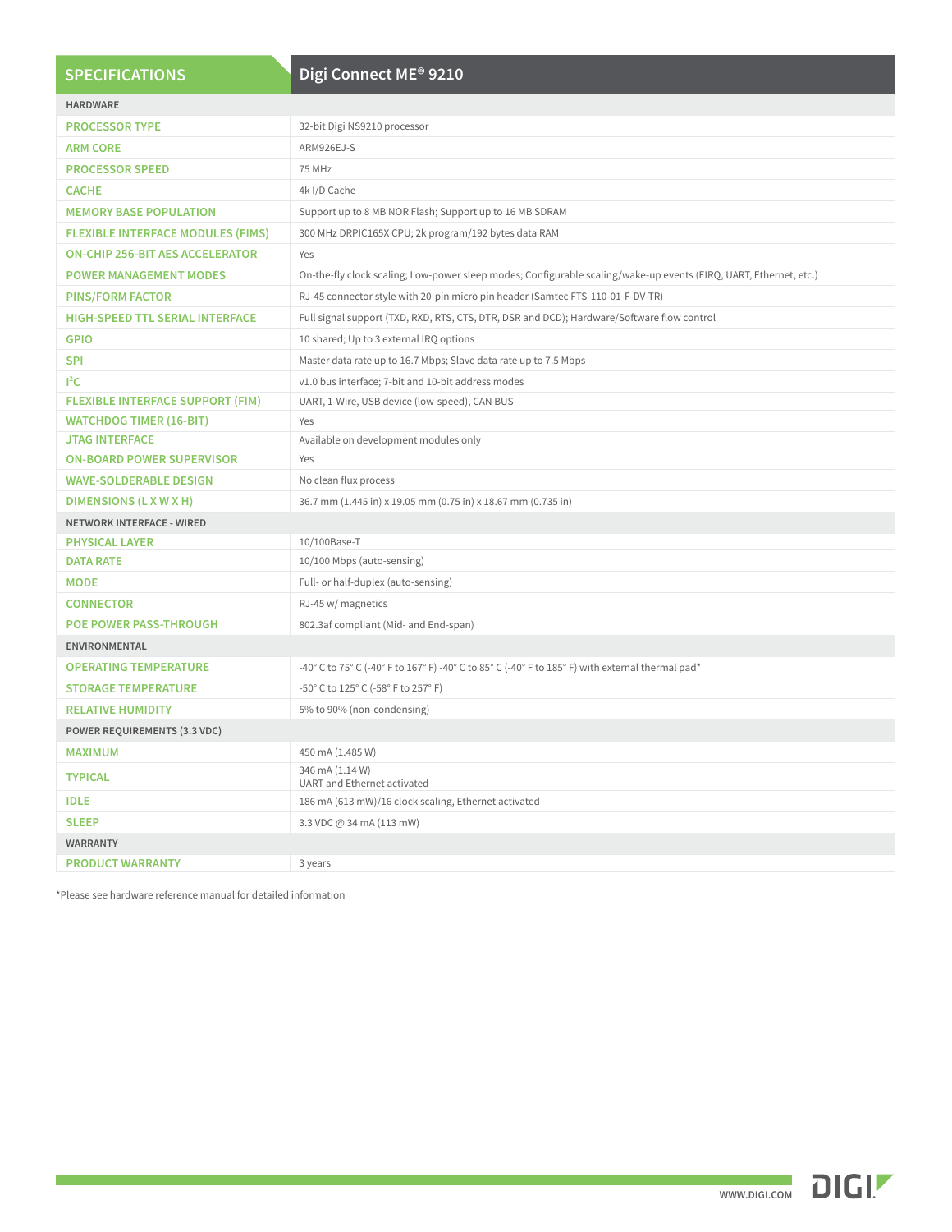| <b>SPECIFICATIONS</b>                    | Digi Connect ME® 9210                                                                                             |  |
|------------------------------------------|-------------------------------------------------------------------------------------------------------------------|--|
|                                          |                                                                                                                   |  |
| <b>HARDWARE</b>                          |                                                                                                                   |  |
| <b>PROCESSOR TYPE</b>                    | 32-bit Digi NS9210 processor                                                                                      |  |
| <b>ARM CORE</b>                          | ARM926EJ-S                                                                                                        |  |
| <b>PROCESSOR SPEED</b>                   | 75 MHz                                                                                                            |  |
| <b>CACHE</b>                             | 4k I/D Cache                                                                                                      |  |
| <b>MEMORY BASE POPULATION</b>            | Support up to 8 MB NOR Flash; Support up to 16 MB SDRAM                                                           |  |
| <b>FLEXIBLE INTERFACE MODULES (FIMS)</b> | 300 MHz DRPIC165X CPU; 2k program/192 bytes data RAM                                                              |  |
| <b>ON-CHIP 256-BIT AES ACCELERATOR</b>   | Yes                                                                                                               |  |
| <b>POWER MANAGEMENT MODES</b>            | On-the-fly clock scaling; Low-power sleep modes; Configurable scaling/wake-up events (EIRQ, UART, Ethernet, etc.) |  |
| <b>PINS/FORM FACTOR</b>                  | RJ-45 connector style with 20-pin micro pin header (Samtec FTS-110-01-F-DV-TR)                                    |  |
| <b>HIGH-SPEED TTL SERIAL INTERFACE</b>   | Full signal support (TXD, RXD, RTS, CTS, DTR, DSR and DCD); Hardware/Software flow control                        |  |
| <b>GPIO</b>                              | 10 shared; Up to 3 external IRQ options                                                                           |  |
| <b>SPI</b>                               | Master data rate up to 16.7 Mbps; Slave data rate up to 7.5 Mbps                                                  |  |
| $l^2C$                                   | v1.0 bus interface; 7-bit and 10-bit address modes                                                                |  |
| <b>FLEXIBLE INTERFACE SUPPORT (FIM)</b>  | UART, 1-Wire, USB device (low-speed), CAN BUS                                                                     |  |
| <b>WATCHDOG TIMER (16-BIT)</b>           | Yes                                                                                                               |  |
| <b>JTAG INTERFACE</b>                    | Available on development modules only                                                                             |  |
| <b>ON-BOARD POWER SUPERVISOR</b>         | Yes                                                                                                               |  |
| <b>WAVE-SOLDERABLE DESIGN</b>            | No clean flux process                                                                                             |  |
| DIMENSIONS (L X W X H)                   | 36.7 mm (1.445 in) x 19.05 mm (0.75 in) x 18.67 mm (0.735 in)                                                     |  |
| <b>NETWORK INTERFACE - WIRED</b>         |                                                                                                                   |  |
| <b>PHYSICAL LAYER</b>                    | 10/100Base-T                                                                                                      |  |
| <b>DATA RATE</b>                         | 10/100 Mbps (auto-sensing)                                                                                        |  |
| <b>MODE</b>                              | Full- or half-duplex (auto-sensing)                                                                               |  |
| <b>CONNECTOR</b>                         | RJ-45 w/ magnetics                                                                                                |  |
| <b>POE POWER PASS-THROUGH</b>            | 802.3af compliant (Mid- and End-span)                                                                             |  |
| <b>ENVIRONMENTAL</b>                     |                                                                                                                   |  |
| <b>OPERATING TEMPERATURE</b>             | -40° C to 75° C (-40° F to 167° F) -40° C to 85° C (-40° F to 185° F) with external thermal pad*                  |  |
| <b>STORAGE TEMPERATURE</b>               | -50° C to 125° C (-58° F to 257° F)                                                                               |  |
| <b>RELATIVE HUMIDITY</b>                 | 5% to 90% (non-condensing)                                                                                        |  |
| <b>POWER REQUIREMENTS (3.3 VDC)</b>      |                                                                                                                   |  |
| <b>MAXIMUM</b>                           | 450 mA (1.485 W)                                                                                                  |  |
| <b>TYPICAL</b>                           | 346 mA (1.14 W)<br>UART and Ethernet activated                                                                    |  |
| <b>IDLE</b>                              | 186 mA (613 mW)/16 clock scaling, Ethernet activated                                                              |  |
| <b>SLEEP</b>                             | 3.3 VDC @ 34 mA (113 mW)                                                                                          |  |
| <b>WARRANTY</b>                          |                                                                                                                   |  |
| <b>PRODUCT WARRANTY</b>                  | 3 years                                                                                                           |  |

\*Please see hardware reference manual for detailed information